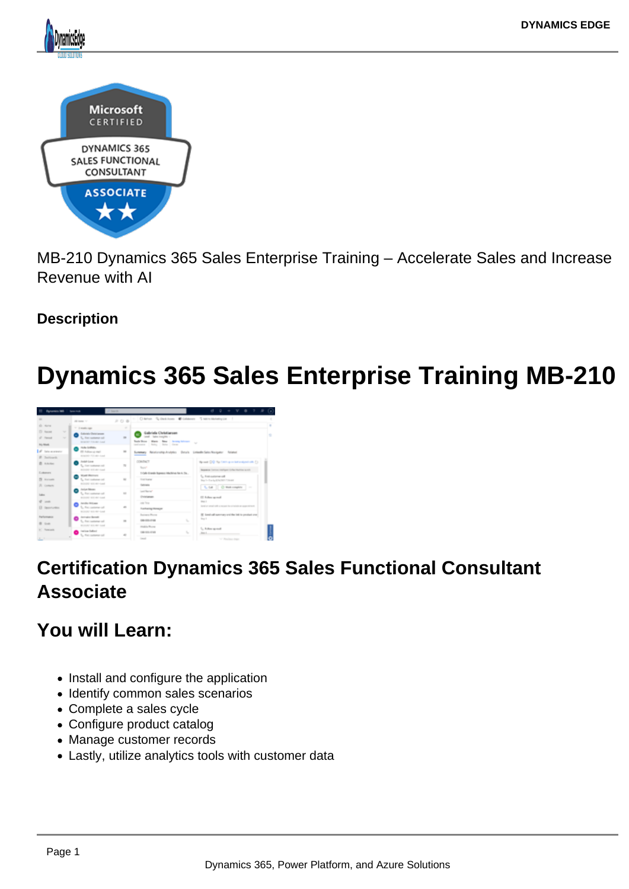MB-210 Dynamics 365 Sales Enterprise Training – Accelerate Sales and Increase Revenue with AI

**Description** 

# Dynamics 365 Sales Enterprise Training MB-210

## Certification Dynamics 365 Sales Functional Consultant Associate

You will Learn:

- Install and configure the application
- Identify common sales scenarios
- Complete a sales cycle
- Configure product catalog
- Manage customer records
- Lastly, utilize analytics tools with customer data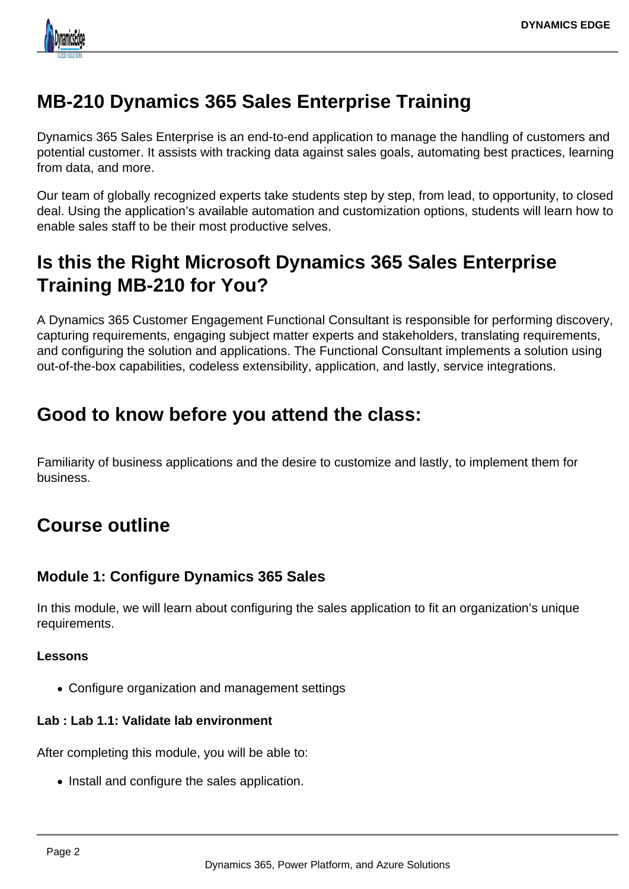

## **MB-210 Dynamics 365 Sales Enterprise Training**

Dynamics 365 Sales Enterprise is an end-to-end application to manage the handling of customers and potential customer. It assists with tracking data against sales goals, automating best practices, learning from data, and more.

Our team of globally recognized experts take students step by step, from lead, to opportunity, to closed deal. Using the application's available automation and customization options, students will learn how to enable sales staff to be their most productive selves.

## **Is this the Right Microsoft Dynamics 365 Sales Enterprise Training MB-210 for You?**

A Dynamics 365 Customer Engagement Functional Consultant is responsible for performing discovery, capturing requirements, engaging subject matter experts and stakeholders, translating requirements, and configuring the solution and applications. The Functional Consultant implements a solution using out-of-the-box capabilities, codeless extensibility, application, and lastly, service integrations.

## **Good to know before you attend the class:**

Familiarity of business applications and the desire to customize and lastly, to implement them for business.

## **Course outline**

## **Module 1: Configure Dynamics 365 Sales**

In this module, we will learn about configuring the sales application to fit an organization's unique requirements.

### **Lessons**

Configure organization and management settings

## **Lab : Lab 1.1: Validate lab environment**

After completing this module, you will be able to:

• Install and configure the sales application.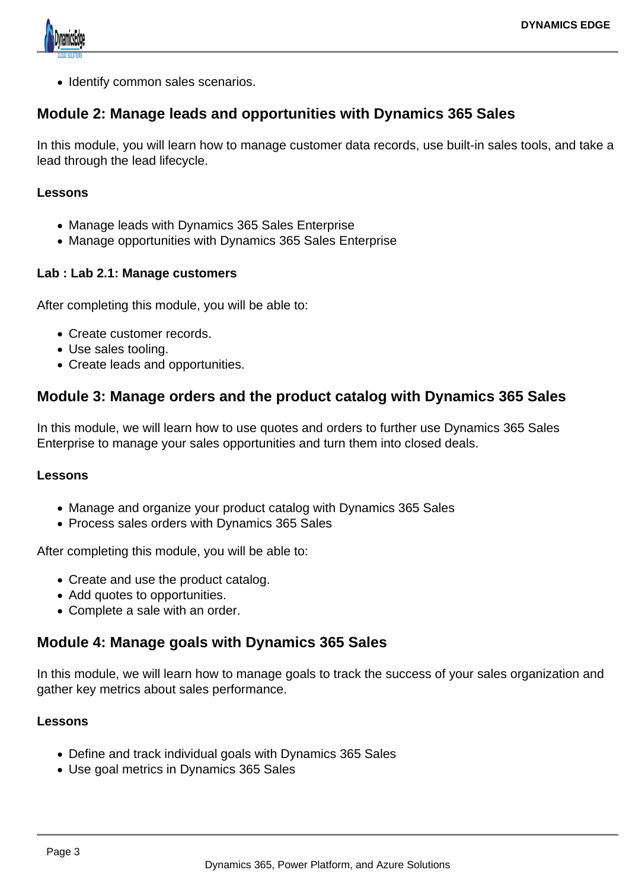

• Identify common sales scenarios.

## **Module 2: Manage leads and opportunities with Dynamics 365 Sales**

In this module, you will learn how to manage customer data records, use built-in sales tools, and take a lead through the lead lifecycle.

#### **Lessons**

- Manage leads with Dynamics 365 Sales Enterprise
- Manage opportunities with Dynamics 365 Sales Enterprise

### **Lab : Lab 2.1: Manage customers**

After completing this module, you will be able to:

- Create customer records.
- Use sales tooling.
- Create leads and opportunities.

## **Module 3: Manage orders and the product catalog with Dynamics 365 Sales**

In this module, we will learn how to use quotes and orders to further use Dynamics 365 Sales Enterprise to manage your sales opportunities and turn them into closed deals.

#### **Lessons**

- Manage and organize your product catalog with Dynamics 365 Sales
- Process sales orders with Dynamics 365 Sales

After completing this module, you will be able to:

- Create and use the product catalog.
- Add quotes to opportunities.
- Complete a sale with an order.

## **Module 4: Manage goals with Dynamics 365 Sales**

In this module, we will learn how to manage goals to track the success of your sales organization and gather key metrics about sales performance.

#### **Lessons**

- Define and track individual goals with Dynamics 365 Sales
- Use goal metrics in Dynamics 365 Sales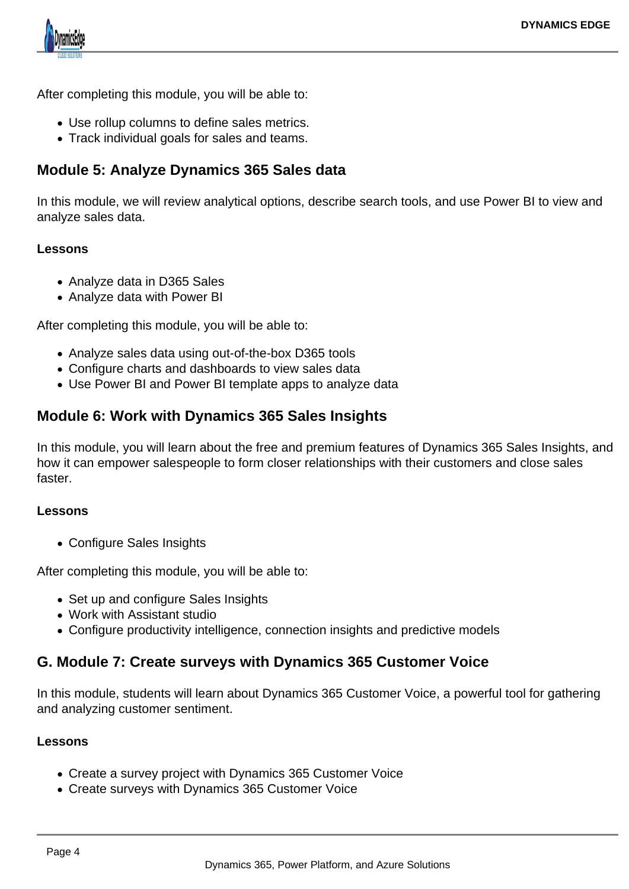

After completing this module, you will be able to:

- Use rollup columns to define sales metrics.
- Track individual goals for sales and teams.

## **Module 5: Analyze Dynamics 365 Sales data**

In this module, we will review analytical options, describe search tools, and use Power BI to view and analyze sales data.

#### **Lessons**

- Analyze data in D365 Sales
- Analyze data with Power BI

After completing this module, you will be able to:

- Analyze sales data using out-of-the-box D365 tools
- Configure charts and dashboards to view sales data
- Use Power BI and Power BI template apps to analyze data

## **Module 6: Work with Dynamics 365 Sales Insights**

In this module, you will learn about the free and premium features of Dynamics 365 Sales Insights, and how it can empower salespeople to form closer relationships with their customers and close sales faster.

#### **Lessons**

Configure Sales Insights

After completing this module, you will be able to:

- Set up and configure Sales Insights
- Work with Assistant studio
- Configure productivity intelligence, connection insights and predictive models

### **G. Module 7: Create surveys with Dynamics 365 Customer Voice**

In this module, students will learn about Dynamics 365 Customer Voice, a powerful tool for gathering and analyzing customer sentiment.

#### **Lessons**

- Create a survey project with Dynamics 365 Customer Voice
- Create surveys with Dynamics 365 Customer Voice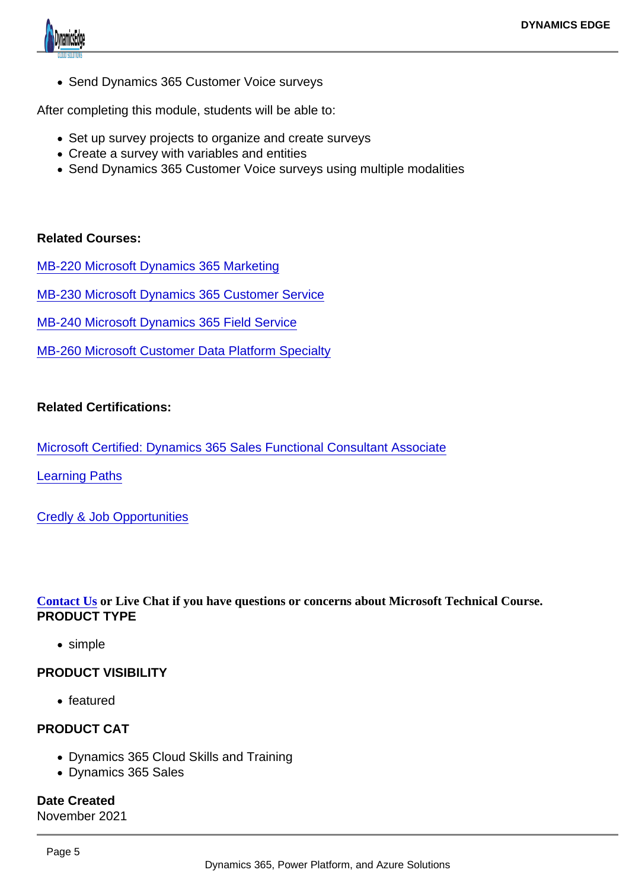• Send Dynamics 365 Customer Voice surveys

After completing this module, students will be able to:

- Set up survey projects to organize and create surveys
- Create a survey with variables and entities
- Send Dynamics 365 Customer Voice surveys using multiple modalities

Related Courses:

[MB-220 Microsoft Dynamics 365 Marketing](https://www.dynamicsedge.com/product/mb-220-dynamics-365-crm-marketing-automation-and-campaign-management/)

[MB-230 Microsoft Dynamics 365 Customer Service](https://www.dynamicsedge.com/product/mb-230-dynamics-365-crm-customer-service-support-customers-anytime-anywhere/)

[MB-240 Microsoft Dynamics 365 Field Service](https://www.dynamicsedge.com/product/mb-240-dynamics-365-crm-field-service-proactive-automation/)

[MB-260 Microsoft Customer Data Platform Specialty](https://www.dynamicsedge.com/product/22851/)

Related Certifications:

[Microsoft Certified: Dynamics 365 Sales Functional Consultant Associate](https://docs.microsoft.com/en-us/learn/certifications/d365-functional-consultant-sales/)

[Learning Paths](https://docs.microsoft.com/en-us/learn/paths/get-started-cds/)

[Credly & Job Opportunities](https://www.credly.com/badges/d11b6cc2-226e-4b2c-ac86-568ed03b28f2)

[Contact Us](https://staging-dynamicsedgeseo.kinsta.cloud/contact) or Live Chat if you have questions or concerns about Microsoft Technical Course. PRODUCT TYPE

• simple

PRODUCT VISIBILITY

• featured

#### PRODUCT CAT

- Dynamics 365 Cloud Skills and Training
- Dynamics 365 Sales

Date Created November 2021